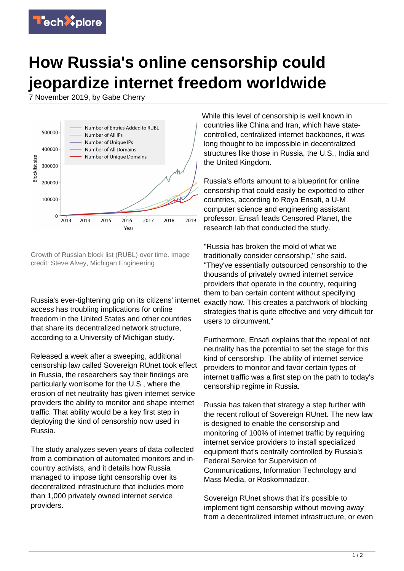

## **How Russia's online censorship could jeopardize internet freedom worldwide**

7 November 2019, by Gabe Cherry



Growth of Russian block list (RUBL) over time. Image credit: Steve Alvey, Michigan Engineering

Russia's ever-tightening grip on its citizens' internet access has troubling implications for online freedom in the United States and other countries that share its decentralized network structure, according to a University of Michigan study.

Released a week after a sweeping, additional censorship law called Sovereign RUnet took effect in Russia, the researchers say their findings are particularly worrisome for the U.S., where the erosion of net neutrality has given internet service providers the ability to monitor and shape internet traffic. That ability would be a key first step in deploying the kind of censorship now used in Russia.

The study analyzes seven years of data collected from a combination of automated monitors and incountry activists, and it details how Russia managed to impose tight censorship over its decentralized infrastructure that includes more than 1,000 privately owned internet service providers.

While this level of censorship is well known in countries like China and Iran, which have statecontrolled, centralized internet backbones, it was long thought to be impossible in decentralized structures like those in Russia, the U.S., India and the United Kingdom.

Russia's efforts amount to a blueprint for online censorship that could easily be exported to other countries, according to Roya Ensafi, a U-M computer science and engineering assistant professor. Ensafi leads Censored Planet, the research lab that conducted the study.

"Russia has broken the mold of what we traditionally consider censorship," she said. "They've essentially outsourced censorship to the thousands of privately owned internet service providers that operate in the country, requiring them to ban certain content without specifying exactly how. This creates a patchwork of blocking strategies that is quite effective and very difficult for users to circumvent."

Furthermore, Ensafi explains that the repeal of net neutrality has the potential to set the stage for this kind of censorship. The ability of internet service providers to monitor and favor certain types of internet traffic was a first step on the path to today's censorship regime in Russia.

Russia has taken that strategy a step further with the recent rollout of Sovereign RUnet. The new law is designed to enable the censorship and monitoring of 100% of internet traffic by requiring internet service providers to install specialized equipment that's centrally controlled by Russia's Federal Service for Supervision of Communications, Information Technology and Mass Media, or Roskomnadzor.

Sovereign RUnet shows that it's possible to implement tight censorship without moving away from a decentralized internet infrastructure, or even